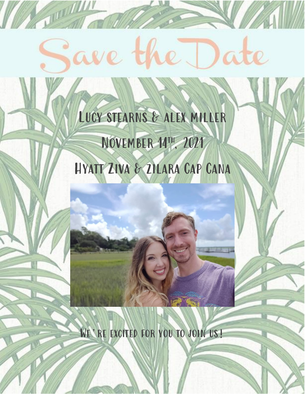# ave the Date

**TILLE AND AND REAL** 

# LUCY STEARNS & ALEX MILLER NOVEMBER 14TH, 2021 HYATT ZIVA & ZILARA CAP CANA

WE'RE EXCITED FOR YOU TO JOIN US!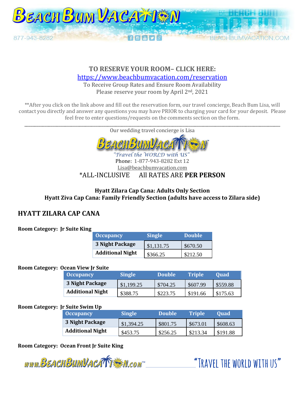

# **TO RESERVE YOUR ROOM– CLICK HERE:**

<https://www.beachbumvacation.com/reservation>

To Receive Group Rates and Ensure Room Availability Please reserve your room by April 2<sup>nd</sup>, 2021

\*\*After you click on the link above and fill out the reservation form, our travel concierge, Beach Bum Lisa, will contact you directly and answer any questions you may have PRIOR to charging your card for your deposit. Please feel free to enter questions/requests on the comments section on the form.

| Our wedding travel concierge is Lisa |  |
|--------------------------------------|--|
| <b>BEACHBUMVACATTES</b>              |  |
| "Travel the WORLD with US"           |  |

#### Phone: 1-877-943-8282 Ext 12 Lisa@beachbumvacation.com \*ALL-INCLUSIVE All RATES ARE **PER PERSON**

### **Hyatt Zilara Cap Cana: Adults Only Section Hyatt Ziva Cap Cana: Family Friendly Section (adults have access to Zilara side)**

# **HYATT ZILARA CAP CANA**

# **Room Category: Jr Suite King**

| $\sim$ Occupancy        | <b>Single</b> | <b>Double</b> |  |
|-------------------------|---------------|---------------|--|
| 3 Night Package         | \$1,131.75    | \$670.50      |  |
| <b>Additional Night</b> | \$366.25      | \$212.50      |  |

# **Room Category: Ocean View Jr Suite**

| <b>Occupancy</b>        | <b>Single</b> | <b>Double</b> | <b>Triple</b> ' | <b>Ouad</b> |  |
|-------------------------|---------------|---------------|-----------------|-------------|--|
| 3 Night Package         | \$1,199.25    | \$704.25      | \$607.99        | \$559.88    |  |
| <b>Additional Night</b> | \$388.75      | \$223.75      | \$191.66        | \$175.63    |  |

# **Room Category: Jr Suite Swim Up**

| <b>Occupancy</b>        | <b>Single</b> | <b>Double</b> | <b>Triple</b> | <b>Ouad</b> |
|-------------------------|---------------|---------------|---------------|-------------|
| 3 Night Package         | \$1,394.25    | \$801.75      | \$673.01      | \$608.63    |
| <b>Additional Night</b> | \$453.75      | \$256.25      | \$213.34      | \$191.88    |

**Room Category: Ocean Front Jr Suite King**

www.BEACHBUMVACATTEN.com

"TRAVEL THE WORLD WITH US"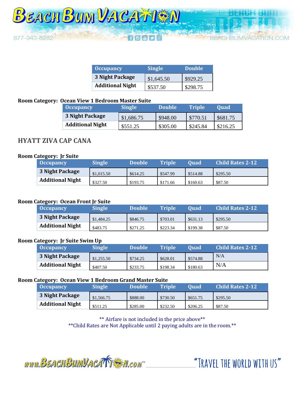

**FRUMVACATION COM** 

| <b>Occupancy</b>        | <b>Single</b> | Double   |  |
|-------------------------|---------------|----------|--|
| <b>3 Night Package</b>  | \$1,645.50    | \$929.25 |  |
| <b>Additional Night</b> | \$537.50      | \$298.75 |  |

#### **Room Category: Ocean View 1 Bedroom Master Suite**

| <b>Occupancy</b>        | <b>Single</b> | Double   | <b>Triple</b> | <b>Ouad</b> |  |
|-------------------------|---------------|----------|---------------|-------------|--|
| 3 Night Package         | \$1,686.75    | \$948.00 | \$770.51      | \$681.75    |  |
| <b>Additional Night</b> | \$551.25      | \$305.00 | \$245.84      | \$216.25    |  |

# **HYATT ZIVA CAP CANA**

#### **Room Category: Jr Suite**

| <b>Occupancy</b>        | <b>Single</b> | <b>Double</b> | <b>Triple</b> | <b>Ouad</b> | <b>Child Rates 2-12</b> |
|-------------------------|---------------|---------------|---------------|-------------|-------------------------|
| 3 Night Package         | \$1.015.50    | \$614.25      | \$547.99      | \$514.88    | \$295.50                |
| <b>Additional Night</b> | \$327.50      | \$193.75      | \$171.66      | \$160.63    | \$87.50                 |

#### **Room Category: Ocean Front Jr Suite**

| <b>Occupancy</b>        | <b>Single</b> | <b>Double</b> | <b>Triple</b> | Ouad     | <b>Child Rates 2-12</b> |
|-------------------------|---------------|---------------|---------------|----------|-------------------------|
| 3 Night Package         | \$1,484.25    | \$846.75      | \$703.01      | \$631.13 | \$295.50                |
| <b>Additional Night</b> | \$483.75      | \$271.25      | \$223.34      | \$199.38 | \$87.50                 |

#### **Room Category: Jr Suite Swim Up**

| <b>Occupancy</b>        | Single     | <b>\Double</b> | <b>Triple</b> | <b>Ouad</b> | <b>Child Rates 2-12</b> |
|-------------------------|------------|----------------|---------------|-------------|-------------------------|
| 3 Night Package         | \$1,255.50 | \$734.25       | \$628.01      | \$574.88    | N/A                     |
| <b>Additional Night</b> | \$407.50   | \$233.75       | \$198.34      | \$180.63    | N/A                     |

#### **Room Category: Ocean View 1 Bedroom Grand Master Suite**

| Occupancy               | <b>Single</b> | <b>Double</b> | <b>Triple</b> | <b>Ouad</b> | <b>Child Rates 2-12</b> |
|-------------------------|---------------|---------------|---------------|-------------|-------------------------|
| 3 Night Package         | \$1,566.75    | \$888.00      | \$730.50      | \$651.75    | \$295.50                |
| <b>Additional Night</b> | \$511.25      | \$285.00      | \$232.50      | \$206.25    | \$87.50                 |

\*\* Airfare is not included in the price above\*\* \*\*Child Rates are Not Applicable until 2 paying adults are in the room.\*\*

www.BEACHBUMVACATTERM.com

"TRAVEL THE WORLD WITH US"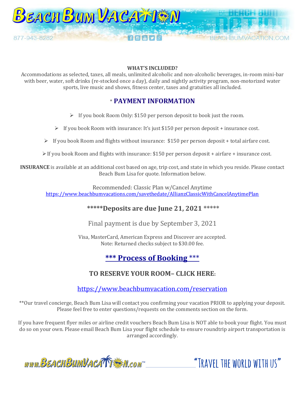

#### **WHAT'S INCLUDED?**

Accommodations as selected, taxes, all meals, unlimited alcoholic and non-alcoholic beverages, in-room mini-bar with beer, water, soft drinks (re-stocked once a day), daily and nightly activity program, non-motorized water sports, live music and shows, fitness center, taxes and gratuities all included.

# \* **PAYMENT INFORMATION**

➢ If you book Room Only: \$150 per person deposit to book just the room.

➢ If you book Room with insurance: It's just \$150 per person deposit + insurance cost.

 $\triangleright$  If you book Room and flights without insurance: \$150 per person deposit + total airfare cost.

 $\triangleright$  If you book Room and flights with insurance: \$150 per person deposit + airfare + insurance cost.

**INSURANCE** is available at an additional cost based on age, trip cost, and state in which you reside. Please contact Beach Bum Lisa for quote. Information below.

Recommended: Classic Plan w/Cancel Anytime <https://www.beachbumvacations.com/savethedate/AllianzClassicWithCancelAnytimePlan>

# **\*\*\*\*\*Deposits are due June 21, 2021 \*\*\*\*\***

Final payment is due by September 3, 2021

Visa, MasterCard, American Express and Discover are accepted. Note: Returned checks subject to \$30.00 fee.

# **\*\*\* Process of Booking** \*\*\*

# **TO RESERVE YOUR ROOM– CLICK HERE:**

<https://www.beachbumvacation.com/reservation>

\*\*Our travel concierge, Beach Bum Lisa will contact you confirming your vacation PRIOR to applying your deposit. Please feel free to enter questions/requests on the comments section on the form.

If you have frequent flyer miles or airline credit vouchers Beach Bum Lisa is NOT able to book your flight. You must do so on your own. Please email Beach Bum Lisa your flight schedule to ensure roundtrip airport transportation is arranged accordingly.

www.BEACHBUMVACATTEM.com

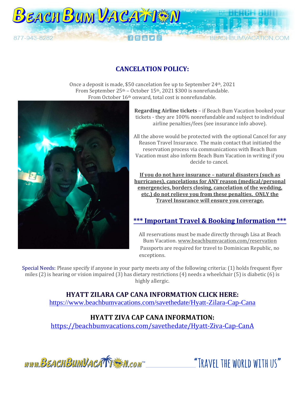

Once a deposit is made, \$50 cancelation fee up to September 24th, 2021 From September 25<sup>th</sup> – October 15<sup>th</sup>, 2021 \$300 is nonrefundable. From October 16th onward, total cost is nonrefundable.



**BEACH BUM VACATTEM** 

877-943-8282

**Regarding Airline tickets** – if Beach Bum Vacation booked your tickets - they are 100% nonrefundable and subject to individual airline penalties/fees (see insurance info above).

**BEACHBUMVACATION COM** 

All the above would be protected with the optional Cancel for any Reason Travel Insurance. The main contact that initiated the reservation process via communications with Beach Bum Vacation must also inform Beach Bum Vacation in writing if you decide to cancel.

**If you do not have insurance – natural disasters (such as hurricanes), cancelations for ANY reason (medical/personal emergencies, borders closing, cancelation of the wedding, etc.) do not relieve you from these penalties. ONLY the Travel Insurance will ensure you coverage.**

# **\*\*\* Important Travel & Booking Information \*\*\***

All reservations must be made directly through Lisa at Beach Bum Vacation[. www.beachbumvacation.com/reservation](http://www.beachbumvacation.com/reservation) Passports are required for travel to Dominican Republic, no exceptions.

Special Needs: Please specify if anyone in your party meets any of the following criteria: (1) holds frequent flyer miles (2) is hearing or vision impaired (3) has dietary restrictions (4) needs a wheelchair (5) is diabetic (6) is highly allergic.

**HYATT ZILARA CAP CANA INFORMATION CLICK HERE:** 

<https://www.beachbumvacations.com/savethedate/Hyatt-Zilara-Cap-Cana>

# **HYATT ZIVA CAP CANA INFORMATION:**

<https://beachbumvacations.com/savethedate/Hyatt-Ziva-Cap-CanA>



"TRAVFI THE WORLD WITH US"